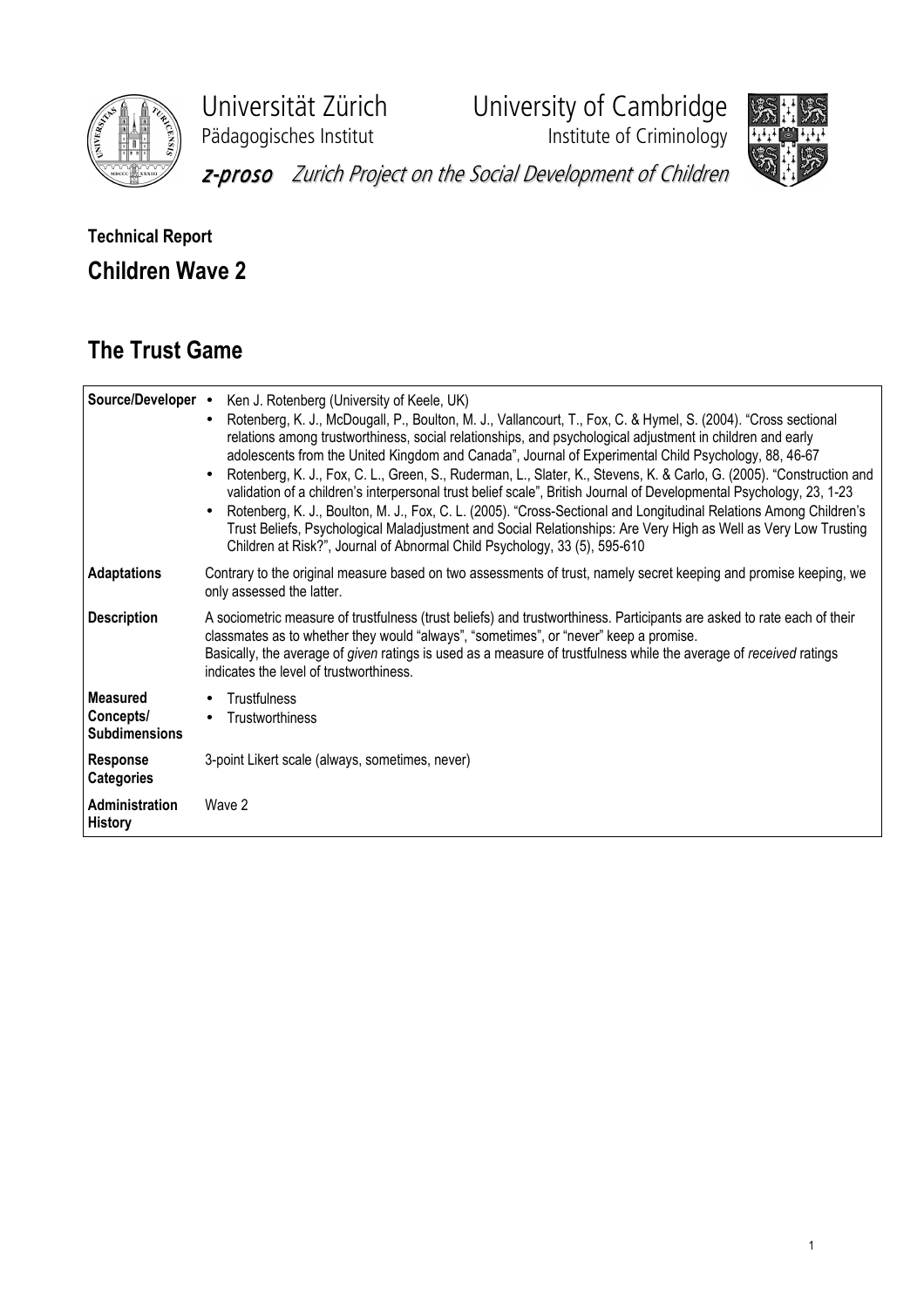

Universität Zürich University of Cambridge

Pädagogisches Institut **Institute of Criminology** 



z-proso Zurich Project on the Social Development of Children

## Technical Report Children Wave 2

## The Trust Game

|                                                      | Source/Developer • Ken J. Rotenberg (University of Keele, UK)<br>Rotenberg, K. J., McDougall, P., Boulton, M. J., Vallancourt, T., Fox, C. & Hymel, S. (2004). "Cross sectional<br>$\bullet$<br>relations among trustworthiness, social relationships, and psychological adjustment in children and early<br>adolescents from the United Kingdom and Canada", Journal of Experimental Child Psychology, 88, 46-67<br>Rotenberg, K. J., Fox, C. L., Green, S., Ruderman, L., Slater, K., Stevens, K. & Carlo, G. (2005). "Construction and<br>validation of a children's interpersonal trust belief scale", British Journal of Developmental Psychology, 23, 1-23<br>Rotenberg, K. J., Boulton, M. J., Fox, C. L. (2005). "Cross-Sectional and Longitudinal Relations Among Children's<br>Trust Beliefs, Psychological Maladjustment and Social Relationships: Are Very High as Well as Very Low Trusting<br>Children at Risk?", Journal of Abnormal Child Psychology, 33 (5), 595-610 |
|------------------------------------------------------|---------------------------------------------------------------------------------------------------------------------------------------------------------------------------------------------------------------------------------------------------------------------------------------------------------------------------------------------------------------------------------------------------------------------------------------------------------------------------------------------------------------------------------------------------------------------------------------------------------------------------------------------------------------------------------------------------------------------------------------------------------------------------------------------------------------------------------------------------------------------------------------------------------------------------------------------------------------------------------------|
| <b>Adaptations</b>                                   | Contrary to the original measure based on two assessments of trust, namely secret keeping and promise keeping, we<br>only assessed the latter.                                                                                                                                                                                                                                                                                                                                                                                                                                                                                                                                                                                                                                                                                                                                                                                                                                        |
| <b>Description</b>                                   | A sociometric measure of trustfulness (trust beliefs) and trustworthiness. Participants are asked to rate each of their<br>classmates as to whether they would "always", "sometimes", or "never" keep a promise.<br>Basically, the average of given ratings is used as a measure of trustfulness while the average of received ratings<br>indicates the level of trustworthiness.                                                                                                                                                                                                                                                                                                                                                                                                                                                                                                                                                                                                     |
| <b>Measured</b><br>Concepts/<br><b>Subdimensions</b> | Trustfulness<br>Trustworthiness<br>$\bullet$                                                                                                                                                                                                                                                                                                                                                                                                                                                                                                                                                                                                                                                                                                                                                                                                                                                                                                                                          |
| <b>Response</b><br><b>Categories</b>                 | 3-point Likert scale (always, sometimes, never)                                                                                                                                                                                                                                                                                                                                                                                                                                                                                                                                                                                                                                                                                                                                                                                                                                                                                                                                       |
| Administration<br><b>History</b>                     | Wave 2                                                                                                                                                                                                                                                                                                                                                                                                                                                                                                                                                                                                                                                                                                                                                                                                                                                                                                                                                                                |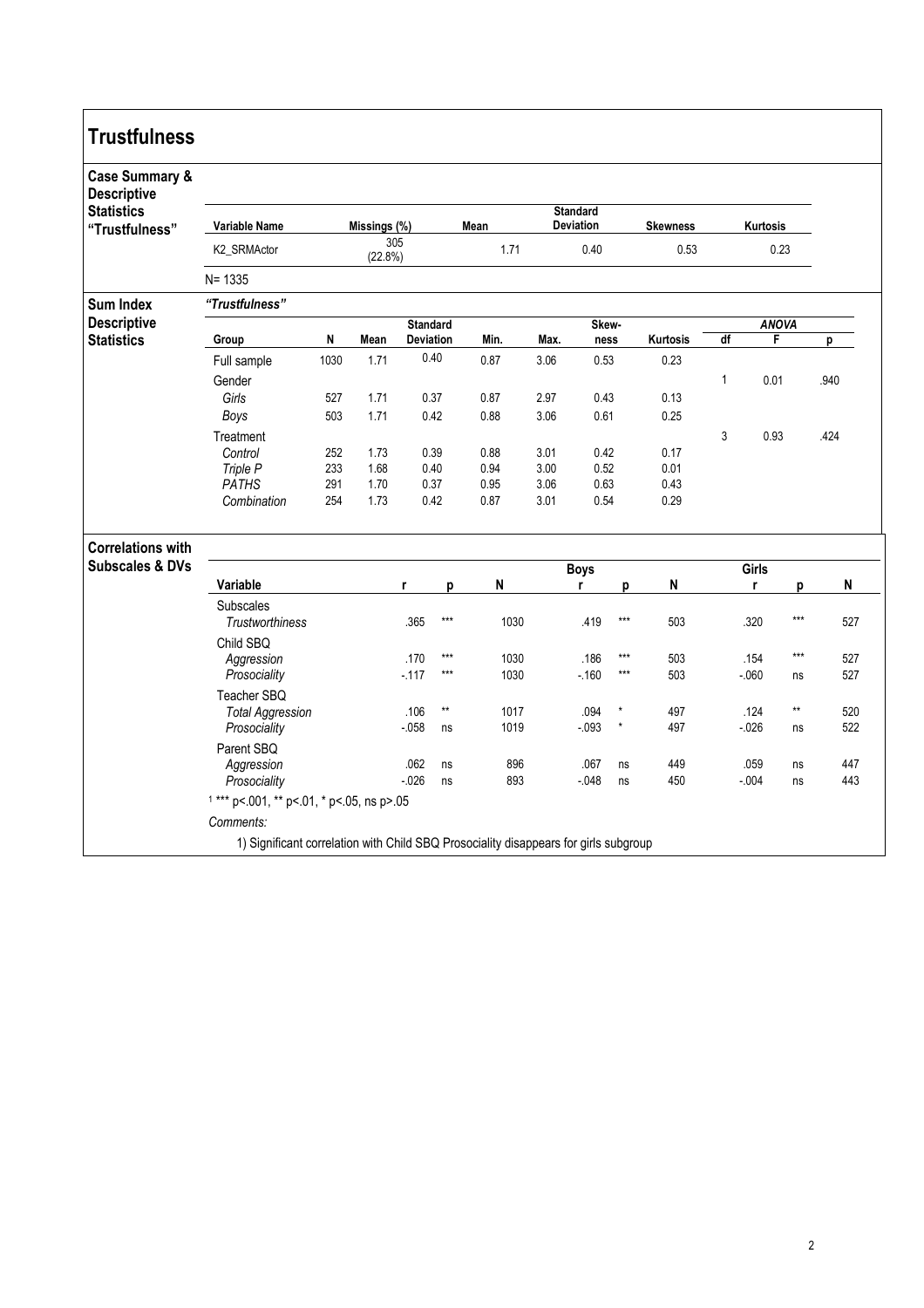| <b>Trustfulness</b>                             |                                                                                      |            |                |                |                              |                                             |                       |                      |                   |              |                         |                  |                 |            |
|-------------------------------------------------|--------------------------------------------------------------------------------------|------------|----------------|----------------|------------------------------|---------------------------------------------|-----------------------|----------------------|-------------------|--------------|-------------------------|------------------|-----------------|------------|
| <b>Case Summary &amp;</b><br><b>Descriptive</b> |                                                                                      |            |                |                |                              |                                             |                       |                      |                   |              |                         |                  |                 |            |
| <b>Statistics</b><br>"Trustfulness"             | <b>Variable Name</b>                                                                 |            | Missings (%)   |                |                              | <b>Standard</b><br>Mean<br><b>Deviation</b> |                       |                      | <b>Skewness</b>   | Kurtosis     |                         |                  |                 |            |
|                                                 | K2_SRMActor                                                                          |            | 305<br>(22.8%) |                |                              | 1.71                                        | 0.40                  |                      | 0.53              | 0.23         |                         |                  |                 |            |
|                                                 | $N = 1335$                                                                           |            |                |                |                              |                                             |                       |                      |                   |              |                         |                  |                 |            |
| <b>Sum Index</b>                                | "Trustfulness"                                                                       |            |                |                |                              |                                             |                       |                      |                   |              |                         |                  |                 |            |
| <b>Descriptive</b><br><b>Statistics</b>         | Group                                                                                | N<br>Mean  |                |                | <b>Standard</b><br>Deviation | Min.                                        | Skew-<br>Max.<br>ness |                      |                   | Kurtosis     | <b>ANOVA</b><br>df<br>F |                  |                 | р          |
|                                                 | Full sample                                                                          | 1030       | 1.71           |                | 0.40                         | 0.87                                        | 3.06                  | 0.53                 |                   | 0.23         |                         |                  |                 |            |
|                                                 | Gender                                                                               |            |                |                |                              |                                             |                       |                      |                   |              | $\mathbf{1}$            | 0.01             |                 | .940       |
|                                                 | Girls                                                                                | 527        | 1.71           |                | 0.37                         | 0.87                                        | 2.97                  | 0.43                 |                   | 0.13         |                         |                  |                 |            |
|                                                 | Boys                                                                                 | 503        | 1.71           |                | 0.42                         | 0.88                                        | 3.06                  | 0.61                 |                   | 0.25         |                         |                  |                 |            |
|                                                 | Treatment                                                                            |            |                |                |                              |                                             |                       |                      |                   |              | 3                       | 0.93             |                 | .424       |
|                                                 | Control                                                                              | 252        | 1.73           | 0.39           |                              | 0.88                                        | 3.01                  | 0.42                 |                   | 0.17         |                         |                  |                 |            |
|                                                 | Triple P                                                                             | 233        | 1.68           |                | 0.40                         | 0.94                                        | 3.00                  | 0.52                 |                   | 0.01         |                         |                  |                 |            |
|                                                 | <b>PATHS</b><br>Combination                                                          | 291<br>254 | 1.70<br>1.73   | 0.37<br>0.42   |                              | 0.95<br>0.87                                | 3.01                  | 3.06<br>0.63<br>0.54 |                   | 0.43<br>0.29 |                         |                  |                 |            |
| <b>Correlations with</b>                        |                                                                                      |            |                |                |                              |                                             |                       |                      |                   |              |                         |                  |                 |            |
| <b>Subscales &amp; DVs</b>                      |                                                                                      |            |                |                |                              | <b>Boys</b>                                 |                       |                      |                   | Girls        |                         |                  |                 |            |
|                                                 | Variable                                                                             |            |                | r              | р                            | N                                           |                       | r                    | p                 | N            |                         | r                | p               | N          |
|                                                 | Subscales<br><b>Trustworthiness</b>                                                  |            |                | .365           | $***$                        | 1030                                        |                       | .419                 | $\star\star\star$ | 503          |                         | .320             | $***$           | 527        |
|                                                 | Child SBQ                                                                            |            |                |                |                              |                                             |                       |                      |                   |              |                         |                  |                 |            |
|                                                 | Aggression                                                                           |            |                | .170           | $***$<br>$***$               | 1030                                        |                       | .186                 | $***$             | 503          |                         | .154             | $***$           | 527        |
|                                                 | Prosociality                                                                         |            |                | $-117$         |                              | 1030                                        |                       | $-160$               | $***$             | 503          |                         | $-060$           | ns              | 527        |
|                                                 | Teacher SBQ                                                                          |            |                |                | $\star\star$                 |                                             |                       |                      | $^\star$          |              |                         |                  | $^{\star\star}$ |            |
|                                                 | <b>Total Aggression</b><br>Prosociality                                              |            |                | .106<br>$-058$ | ns                           | 1017<br>1019                                |                       | .094<br>$-0.093$     | $\star$           | 497<br>497   |                         | .124<br>$-0.026$ | ns              | 520<br>522 |
|                                                 | Parent SBQ                                                                           |            |                |                |                              |                                             |                       |                      |                   |              |                         |                  |                 |            |
|                                                 | Aggression                                                                           |            |                | .062           | ns                           | 896                                         |                       | .067                 | ns                | 449          |                         | .059             | ns              | 447        |
|                                                 | Prosociality                                                                         |            |                | $-0.026$       | ns                           | 893                                         |                       | $-048$               | ns                | 450          |                         | $-.004$          | ns              | 443        |
|                                                 | $1***$ p<.001, ** p<.01, * p<.05, ns p>.05                                           |            |                |                |                              |                                             |                       |                      |                   |              |                         |                  |                 |            |
|                                                 | Comments:                                                                            |            |                |                |                              |                                             |                       |                      |                   |              |                         |                  |                 |            |
|                                                 | 1) Significant correlation with Child SBQ Prosociality disappears for girls subgroup |            |                |                |                              |                                             |                       |                      |                   |              |                         |                  |                 |            |
|                                                 |                                                                                      |            |                |                |                              |                                             |                       |                      |                   |              |                         |                  |                 |            |